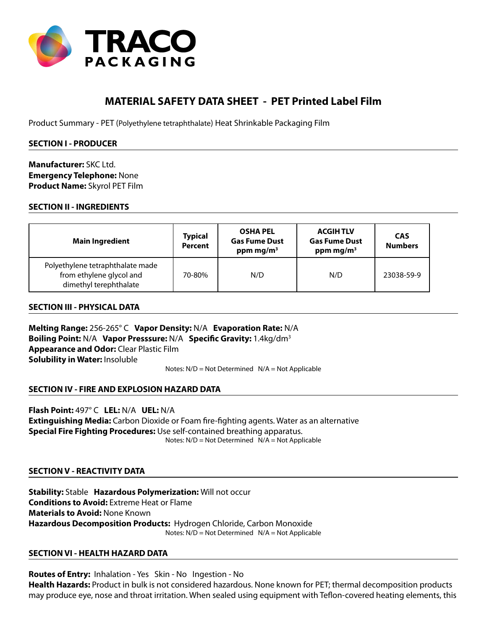

# **MATERIAL SAFETY DATA SHEET - PET Printed Label Film**

Product Summary - PET (Polyethylene tetraphthalate) Heat Shrinkable Packaging Film

## **SECTION I - PRODUCER**

**Manufacturer:** SKC Ltd. **Emergency Telephone:** None **Product Name:** Skyrol PET Film

## **SECTION II - INGREDIENTS**

| <b>Main Ingredient</b>                                                                 | <b>Typical</b><br><b>Percent</b> | <b>OSHA PEL</b><br><b>Gas Fume Dust</b><br>ppm mg/m <sup>3</sup> | <b>ACGIH TLV</b><br><b>Gas Fume Dust</b><br>ppm mg/m <sup>3</sup> | <b>CAS</b><br><b>Numbers</b> |
|----------------------------------------------------------------------------------------|----------------------------------|------------------------------------------------------------------|-------------------------------------------------------------------|------------------------------|
| Polyethylene tetraphthalate made<br>from ethylene glycol and<br>dimethyl terephthalate | 70-80%                           | N/D                                                              | N/D                                                               | 23038-59-9                   |

### **SECTION III - PHYSICAL DATA**

**Melting Range:** 256-265° C **Vapor Density:** N/A **Evaporation Rate:** N/A **Boiling Point:** N/A **Vapor Presssure:** N/A **Specific Gravity:** 1.4kg/dm3 **Appearance and Odor:** Clear Plastic Film **Solubility in Water:** Insoluble

Notes: N/D = Not Determined N/A = Not Applicable

### **SECTION IV - FIRE AND EXPLOSION HAZARD DATA**

**Flash Point:** 497° C **LEL:** N/A **UEL:** N/A **Extinguishing Media:** Carbon Dioxide or Foam fire-fighting agents. Water as an alternative **Special Fire Fighting Procedures:** Use self-contained breathing apparatus. Notes: N/D = Not Determined N/A = Not Applicable

### **SECTION V - REACTIVITY DATA**

**Stability:** Stable **Hazardous Polymerization:** Will not occur **Conditions to Avoid:** Extreme Heat or Flame **Materials to Avoid:** None Known **Hazardous Decomposition Products:** Hydrogen Chloride, Carbon Monoxide Notes: N/D = Not Determined N/A = Not Applicable

### **SECTION VI - HEALTH HAZARD DATA**

**Routes of Entry:** Inhalation - Yes Skin - No Ingestion - No **Health Hazards:** Product in bulk is not considered hazardous. None known for PET; thermal decomposition products may produce eye, nose and throat irritation. When sealed using equipment with Teflon-covered heating elements, this